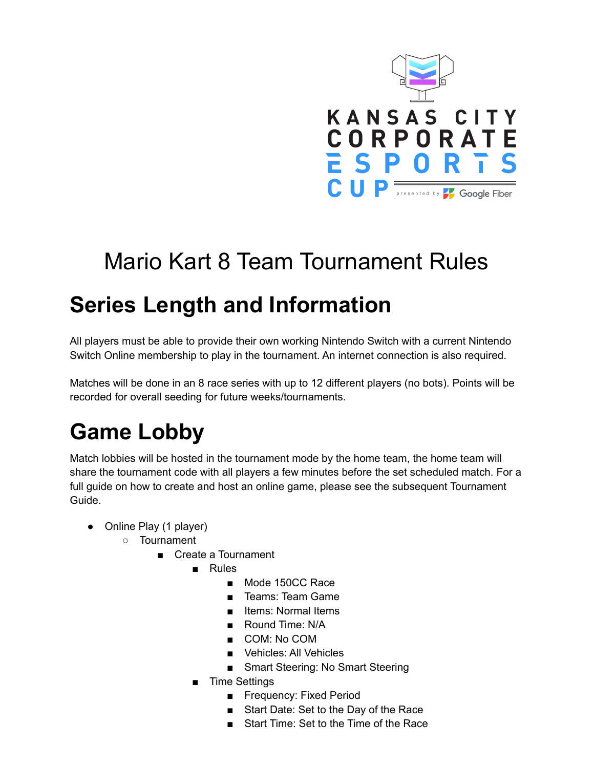

# Mario Kart 8 Team Tournament Rules

# **Series Length and Information**

All players must be able to provide their own working Nintendo Switch with a current Nintendo Switch Online membership to play in the tournament. An internet connection is also required.

Matches will be done in an 8 race series with up to 12 different players (no bots). Points will be recorded for overall seeding for future weeks/tournaments.

# **Game Lobby**

Match lobbies will be hosted in the tournament mode by the home team, the home team will share the tournament code with all players a few minutes before the set scheduled match. For a full guide on how to create and host an online game, please see the subsequent Tournament Guide.

- Online Play (1 player)
	- Tournament
		- Create a Tournament
			- Rules
				- Mode 150CC Race
				- Teams: Team Game
				- Items: Normal Items
				- Round Time: N/A
				- COM: No COM
				- Vehicles: All Vehicles
				- Smart Steering: No Smart Steering
			- Time Settings
				- Frequency: Fixed Period
				- Start Date: Set to the Day of the Race
				- Start Time: Set to the Time of the Race